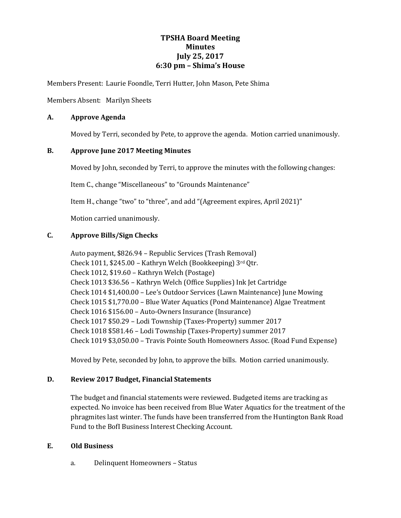# **TPSHA Board Meeting Minutes July 25, 2017 6:30 pm – Shima's House**

Members Present: Laurie Foondle, Terri Hutter, John Mason, Pete Shima

Members Absent: Marilyn Sheets

## **A. Approve Agenda**

Moved by Terri, seconded by Pete, to approve the agenda. Motion carried unanimously.

## **B. Approve June 2017 Meeting Minutes**

Moved by John, seconded by Terri, to approve the minutes with the following changes:

Item C., change "Miscellaneous" to "Grounds Maintenance"

Item H., change "two" to "three", and add "(Agreement expires, April 2021)"

Motion carried unanimously.

## **C. Approve Bills/Sign Checks**

Auto payment, \$826.94 – Republic Services (Trash Removal) Check 1011, \$245.00 – Kathryn Welch (Bookkeeping) 3rd Qtr. Check 1012, \$19.60 – Kathryn Welch (Postage) Check 1013 \$36.56 – Kathryn Welch (Office Supplies) Ink Jet Cartridge Check 1014 \$1,400.00 – Lee's Outdoor Services (Lawn Maintenance) June Mowing Check 1015 \$1,770.00 – Blue Water Aquatics (Pond Maintenance) Algae Treatment Check 1016 \$156.00 – Auto-Owners Insurance (Insurance) Check 1017 \$50.29 – Lodi Township (Taxes-Property) summer 2017 Check 1018 \$581.46 – Lodi Township (Taxes-Property) summer 2017 Check 1019 \$3,050.00 – Travis Pointe South Homeowners Assoc. (Road Fund Expense)

Moved by Pete, seconded by John, to approve the bills. Motion carried unanimously.

# **D. Review 2017 Budget, Financial Statements**

The budget and financial statements were reviewed. Budgeted items are tracking as expected. No invoice has been received from Blue Water Aquatics for the treatment of the phragmites last winter. The funds have been transferred from the Huntington Bank Road Fund to the BofI Business Interest Checking Account.

#### **E. Old Business**

a. Delinquent Homeowners – Status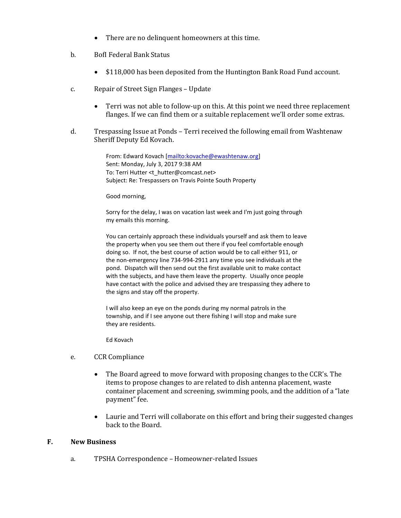- There are no delinquent homeowners at this time.
- b. BofI Federal Bank Status
	- \$118,000 has been deposited from the Huntington Bank Road Fund account.
- c. Repair of Street Sign Flanges Update
	- Terri was not able to follow-up on this. At this point we need three replacement flanges. If we can find them or a suitable replacement we'll order some extras.
- d. Trespassing Issue at Ponds Terri received the following email from Washtenaw Sheriff Deputy Ed Kovach.

From: Edward Kovach [\[mailto:kovache@ewashtenaw.org\]](mailto:kovache@ewashtenaw.org) Sent: Monday, July 3, 2017 9:38 AM To: Terri Hutter <t\_hutter@comcast.net> Subject: Re: Trespassers on Travis Pointe South Property

Good morning,

Sorry for the delay, I was on vacation last week and I'm just going through my emails this morning.

You can certainly approach these individuals yourself and ask them to leave the property when you see them out there if you feel comfortable enough doing so. If not, the best course of action would be to call either 911, or the non-emergency line 734-994-2911 any time you see individuals at the pond. Dispatch will then send out the first available unit to make contact with the subjects, and have them leave the property. Usually once people have contact with the police and advised they are trespassing they adhere to the signs and stay off the property.

I will also keep an eye on the ponds during my normal patrols in the township, and if I see anyone out there fishing I will stop and make sure they are residents.

Ed Kovach

- e. CCR Compliance
	- The Board agreed to move forward with proposing changes to the CCR's. The items to propose changes to are related to dish antenna placement, waste container placement and screening, swimming pools, and the addition of a "late payment" fee.
	- Laurie and Terri will collaborate on this effort and bring their suggested changes back to the Board.

#### **F. New Business**

a. TPSHA Correspondence – Homeowner-related Issues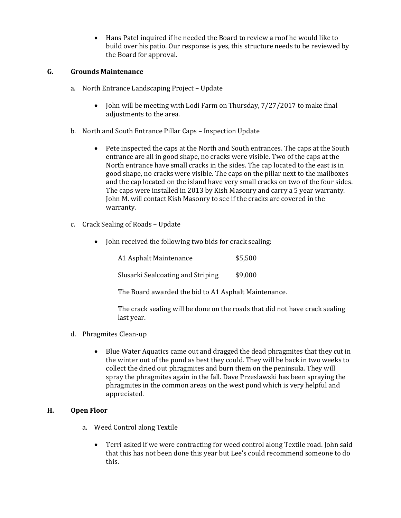Hans Patel inquired if he needed the Board to review a roof he would like to build over his patio. Our response is yes, this structure needs to be reviewed by the Board for approval.

# **G. Grounds Maintenance**

- a. North Entrance Landscaping Project Update
	- $\bullet$  John will be meeting with Lodi Farm on Thursday,  $7/27/2017$  to make final adjustments to the area.
- b. North and South Entrance Pillar Caps Inspection Update
	- Pete inspected the caps at the North and South entrances. The caps at the South entrance are all in good shape, no cracks were visible. Two of the caps at the North entrance have small cracks in the sides. The cap located to the east is in good shape, no cracks were visible. The caps on the pillar next to the mailboxes and the cap located on the island have very small cracks on two of the four sides. The caps were installed in 2013 by Kish Masonry and carry a 5 year warranty. John M. will contact Kish Masonry to see if the cracks are covered in the warranty.
- c. Crack Sealing of Roads Update
	- John received the following two bids for crack sealing:

| A1 Asphalt Maintenance            | \$5,500 |
|-----------------------------------|---------|
| Slusarki Sealcoating and Striping | \$9,000 |

The Board awarded the bid to A1 Asphalt Maintenance.

The crack sealing will be done on the roads that did not have crack sealing last year.

- d. Phragmites Clean-up
	- Blue Water Aquatics came out and dragged the dead phragmites that they cut in the winter out of the pond as best they could. They will be back in two weeks to collect the dried out phragmites and burn them on the peninsula. They will spray the phragmites again in the fall. Dave Przeslawski has been spraying the phragmites in the common areas on the west pond which is very helpful and appreciated.

#### **H. Open Floor**

- a. Weed Control along Textile
	- Terri asked if we were contracting for weed control along Textile road. John said that this has not been done this year but Lee's could recommend someone to do this.